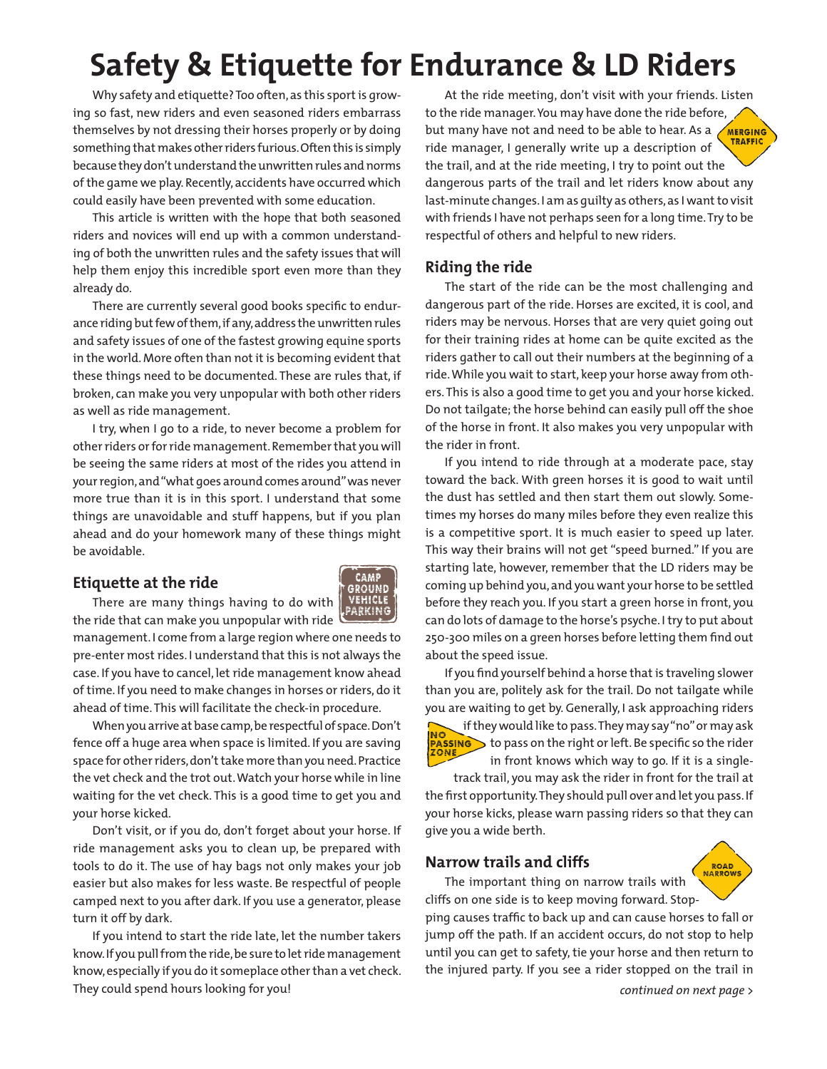# **Safety & Etiquette for Endurance & LD Riders**

Why safety and etiquette? Too often, as this sport is growing so fast, new riders and even seasoned riders embarrass themselves by not dressing their horses properly or by doing something that makes other riders furious. Often this is simply because they don't understand the unwritten rules and norms of the game we play. Recently, accidents have occurred which could easily have been prevented with some education.

This article is written with the hope that both seasoned riders and novices will end up with a common understanding of both the unwritten rules and the safety issues that will help them enjoy this incredible sport even more than they already do.

There are currently several good books specific to endurance riding but few of them, if any, address the unwritten rules and safety issues of one of the fastest growing equine sports in the world. More often than not it is becoming evident that these things need to be documented. These are rules that, if broken, can make you very unpopular with both other riders as well as ride management.

I try, when I go to a ride, to never become a problem for other riders or for ride management. Remember that you will be seeing the same riders at most of the rides you attend in your region, and "what goes around comes around" was never more true than it is in this sport. I understand that some things are unavoidable and stuff happens, but if you plan ahead and do your homework many of these things might be avoidable.

### **Etiquette at the ride**



There are many things having to do with the ride that can make you unpopular with ride

management. I come from a large region where one needs to pre-enter most rides. I understand that this is not always the case. If you have to cancel, let ride management know ahead of time. If you need to make changes in horses or riders, do it ahead of time. This will facilitate the check-in procedure.

When you arrive at base camp, be respectful of space. Don't fence off a huge area when space is limited. If you are saving space for other riders, don't take more than you need. Practice the vet check and the trot out. Watch your horse while in line waiting for the vet check. This is a good time to get you and your horse kicked.

Don't visit, or if you do, don't forget about your horse. If ride management asks you to clean up, be prepared with tools to do it. The use of hay bags not only makes your job easier but also makes for less waste. Be respectful of people camped next to you after dark. If you use a generator, please turn it off by dark.

If you intend to start the ride late, let the number takers know. If you pull from the ride, be sure to let ride management know, especially if you do it someplace other than a vet check. They could spend hours looking for you!

At the ride meeting, don't visit with your friends. Listen to the ride manager. You may have done the ride before, but many have not and need to be able to hear. As a **TRAFFIC** ride manager, I generally write up a description of the trail, and at the ride meeting, I try to point out the dangerous parts of the trail and let riders know about any last-minute changes. I am as guilty as others, as I want to visit with friends I have not perhaps seen for a long time. Try to be respectful of others and helpful to new riders.

### **Riding the ride**

The start of the ride can be the most challenging and dangerous part of the ride. Horses are excited, it is cool, and riders may be nervous. Horses that are very quiet going out for their training rides at home can be quite excited as the riders gather to call out their numbers at the beginning of a ride. While you wait to start, keep your horse away from others. This is also a good time to get you and your horse kicked. Do not tailgate; the horse behind can easily pull off the shoe of the horse in front. It also makes you very unpopular with the rider in front.

If you intend to ride through at a moderate pace, stay toward the back. With green horses it is good to wait until the dust has settled and then start them out slowly. Sometimes my horses do many miles before they even realize this is a competitive sport. It is much easier to speed up later. This way their brains will not get "speed burned." If you are starting late, however, remember that the LD riders may be coming up behind you, and you want your horse to be settled before they reach you. If you start a green horse in front, you can do lots of damage to the horse's psyche. I try to put about 250-300 miles on a green horses before letting them find out about the speed issue.

If you find yourself behind a horse that is traveling slower than you are, politely ask for the trail. Do not tailgate while you are waiting to get by. Generally, I ask approaching riders if they would like to pass. They may say "no" or may ask NO



 $\triangleright$  to pass on the right or left. Be specific so the rider in front knows which way to go. If it is a singletrack trail, you may ask the rider in front for the trail at

the first opportunity. They should pull over and let you pass. If your horse kicks, please warn passing riders so that they can give you a wide berth.

### **Narrow trails and cliffs**



The important thing on narrow trails with cliffs on one side is to keep moving forward. Stopping causes traffic to back up and can cause horses to fall or jump off the path. If an accident occurs, do not stop to help until you can get to safety, tie your horse and then return to the injured party. If you see a rider stopped on the trail in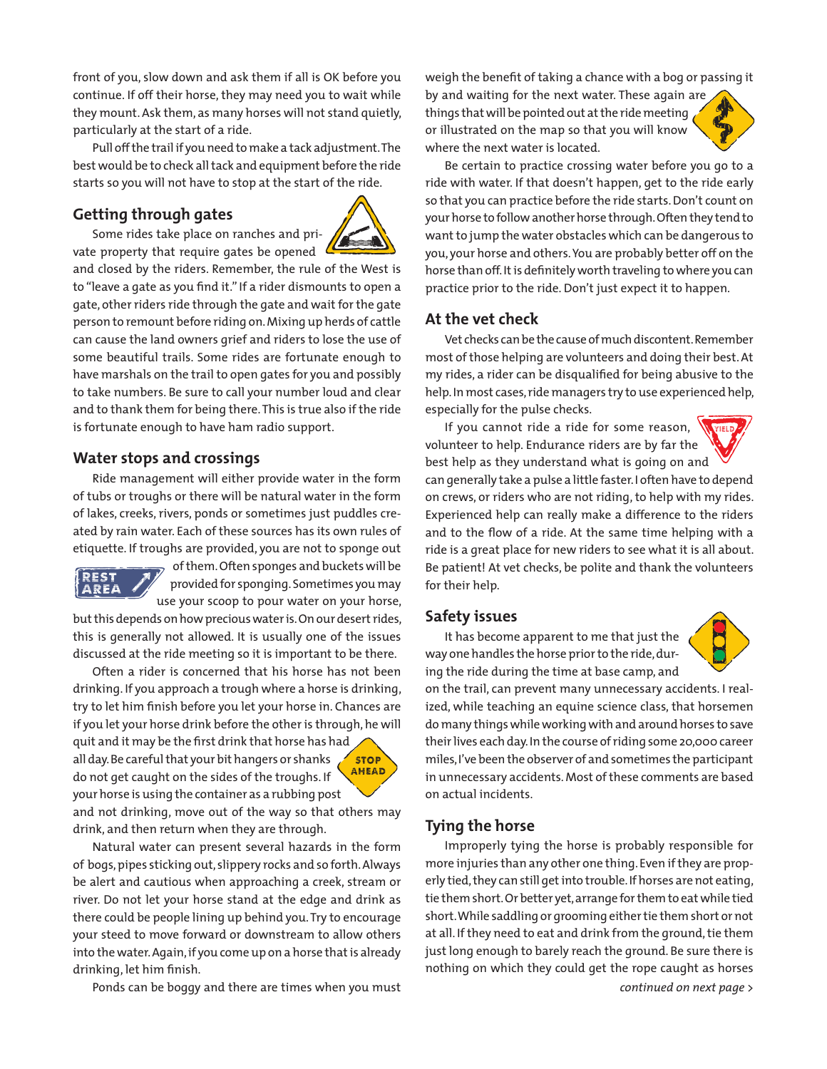front of you, slow down and ask them if all is OK before you continue. If off their horse, they may need you to wait while they mount. Ask them, as many horses will not stand quietly, particularly at the start of a ride.

Pull off the trail if you need to make a tack adjustment. The best would be to check all tack and equipment before the ride starts so you will not have to stop at the start of the ride.

## **Getting through gates**



Some rides take place on ranches and private property that require gates be opened

and closed by the riders. Remember, the rule of the West is to "leave a gate as you find it." If a rider dismounts to open a gate, other riders ride through the gate and wait for the gate person to remount before riding on. Mixing up herds of cattle can cause the land owners grief and riders to lose the use of some beautiful trails. Some rides are fortunate enough to have marshals on the trail to open gates for you and possibly to take numbers. Be sure to call your number loud and clear and to thank them for being there. This is true also if the ride is fortunate enough to have ham radio support.

#### **Water stops and crossings**

Ride management will either provide water in the form of tubs or troughs or there will be natural water in the form of lakes, creeks, rivers, ponds or sometimes just puddles created by rain water. Each of these sources has its own rules of etiquette. If troughs are provided, you are not to sponge out



of them. Often sponges and buckets will be provided for sponging. Sometimes you may use your scoop to pour water on your horse,

but this depends on how precious water is. On our desert rides, this is generally not allowed. It is usually one of the issues discussed at the ride meeting so it is important to be there.

Often a rider is concerned that his horse has not been drinking. If you approach a trough where a horse is drinking, try to let him finish before you let your horse in. Chances are if you let your horse drink before the other is through, he will

quit and it may be the first drink that horse has had all day. Be careful that your bit hangers or shanks do not get caught on the sides of the troughs. If your horse is using the container as a rubbing post



and not drinking, move out of the way so that others may drink, and then return when they are through.

Natural water can present several hazards in the form of bogs, pipes sticking out, slippery rocks and so forth. Always be alert and cautious when approaching a creek, stream or river. Do not let your horse stand at the edge and drink as there could be people lining up behind you. Try to encourage your steed to move forward or downstream to allow others into the water. Again, if you come up on a horse that is already drinking, let him finish.

Ponds can be boggy and there are times when you must *continued on next page >*

weigh the benefit of taking a chance with a bog or passing it

by and waiting for the next water. These again are things that will be pointed out at the ride meeting or illustrated on the map so that you will know where the next water is located.



Be certain to practice crossing water before you go to a ride with water. If that doesn't happen, get to the ride early so that you can practice before the ride starts. Don't count on your horse to follow another horse through. Often they tend to want to jump the water obstacles which can be dangerous to you, your horse and others. You are probably better off on the horse than off. It is definitely worth traveling to where you can practice prior to the ride. Don't just expect it to happen.

### **At the vet check**

Vet checks can be the cause of much discontent. Remember most of those helping are volunteers and doing their best. At my rides, a rider can be disqualified for being abusive to the help. In most cases, ride managers try to use experienced help, especially for the pulse checks.

If you cannot ride a ride for some reason, volunteer to help. Endurance riders are by far the best help as they understand what is going on and can generally take a pulse a little faster. I often have to depend on crews, or riders who are not riding, to help with my rides. Experienced help can really make a difference to the riders and to the flow of a ride. At the same time helping with a ride is a great place for new riders to see what it is all about. Be patient! At vet checks, be polite and thank the volunteers for their help.

### **Safety issues**

It has become apparent to me that just the way one handles the horse prior to the ride, during the ride during the time at base camp, and



on the trail, can prevent many unnecessary accidents. I realized, while teaching an equine science class, that horsemen do many things while working with and around horses to save their lives each day. In the course of riding some 20,000 career miles, I've been the observer of and sometimes the participant in unnecessary accidents. Most of these comments are based on actual incidents.

### **Tying the horse**

Improperly tying the horse is probably responsible for more injuries than any other one thing. Even if they are properly tied, they can still get into trouble. If horses are not eating, tie them short. Or better yet, arrange for them to eat while tied short. While saddling or grooming either tie them short or not at all. If they need to eat and drink from the ground, tie them just long enough to barely reach the ground. Be sure there is nothing on which they could get the rope caught as horses